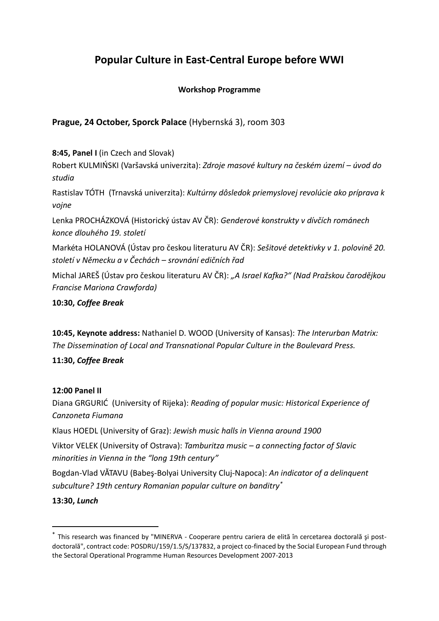# **Popular Culture in East-Central Europe before WWI**

# **Workshop Programme**

# **Prague, 24 October, Sporck Palace** (Hybernská 3), room 303

## **8:45, Panel I** (in Czech and Slovak)

Robert KULMIŃSKI (Varšavská univerzita): *Zdroje masové kultury na českém území – úvod do studia*

Rastislav TÓTH (Trnavská univerzita): *Kultúrny dôsledok priemyslovej revolúcie ako príprava k vojne*

Lenka PROCHÁZKOVÁ (Historický ústav AV ČR): *Genderové konstrukty v dívčích románech konce dlouhého 19. století*

Markéta HOLANOVÁ (Ústav pro českou literaturu AV ČR): *Sešitové detektivky v 1. polovině 20. století v Německu a v Čechách – srovnání edičních řad*

Michal JAREŠ (Ústav pro českou literaturu AV ČR): *"A Israel Kafka?" (Nad Pražskou čarodějkou Francise Mariona Crawforda)*

## **10:30,** *Coffee Break*

**10:45, Keynote address:** Nathaniel D. WOOD (University of Kansas): *The Interurban Matrix: The Dissemination of Local and Transnational Popular Culture in the Boulevard Press.*

# **11:30,** *Coffee Break*

#### **12:00 Panel II**

Diana GRGURIĆ (University of Rijeka): *Reading of popular music: Historical Experience of Canzoneta Fiumana*

Klaus HOEDL (University of Graz): *Jewish music halls in Vienna around 1900*

Viktor VELEK (University of Ostrava): *Tamburitza music – a connecting factor of Slavic minorities in Vienna in the "long 19th century"*

Bogdan-Vlad VĂTAVU (Babeş-Bolyai University Cluj-Napoca): *An indicator of a delinquent subculture? 19th century Romanian popular culture on banditry\**

#### **13:30,** *Lunch*

**.** 

<sup>\*</sup> This research was financed by "MINERVA - Cooperare pentru cariera de elită în cercetarea doctorală şi postdoctorală", contract code: POSDRU/159/1.5/S/137832, a project co-finaced by the Social European Fund through the Sectoral Operational Programme Human Resources Development 2007-2013